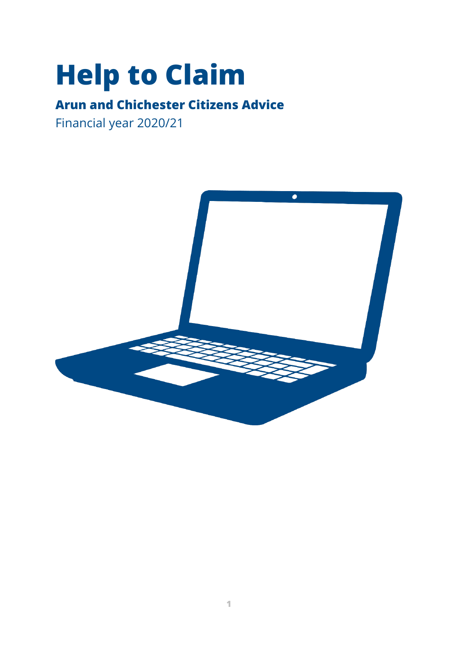# **Help to Claim**

## **Arun and Chichester Citizens Advice**

Financial year 2020/21

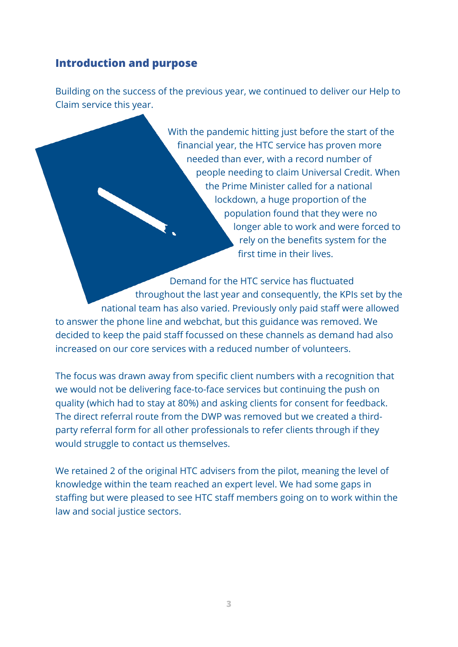#### <span id="page-2-0"></span>**Introduction and purpose**

Building on the success of the previous year, we continued to deliver our Help to Claim service this year.

> With the pandemic hitting just before the start of the financial year, the HTC service has proven more needed than ever, with a record number of people needing to claim Universal Credit. When the Prime Minister called for a national lockdown, a huge proportion of the population found that they were no longer able to work and were forced to rely on the benefits system for the first time in their lives.

Demand for the HTC service has fluctuated throughout the last year and consequently, the KPIs set by the national team has also varied. Previously only paid staff were allowed to answer the phone line and webchat, but this guidance was removed. We decided to keep the paid staff focussed on these channels as demand had also increased on our core services with a reduced number of volunteers.

The focus was drawn away from specific client numbers with a recognition that we would not be delivering face-to-face services but continuing the push on quality (which had to stay at 80%) and asking clients for consent for feedback. The direct referral route from the DWP was removed but we created a thirdparty referral form for all other professionals to refer clients through if they would struggle to contact us themselves.

We retained 2 of the original HTC advisers from the pilot, meaning the level of knowledge within the team reached an expert level. We had some gaps in staffing but were pleased to see HTC staff members going on to work within the law and social justice sectors.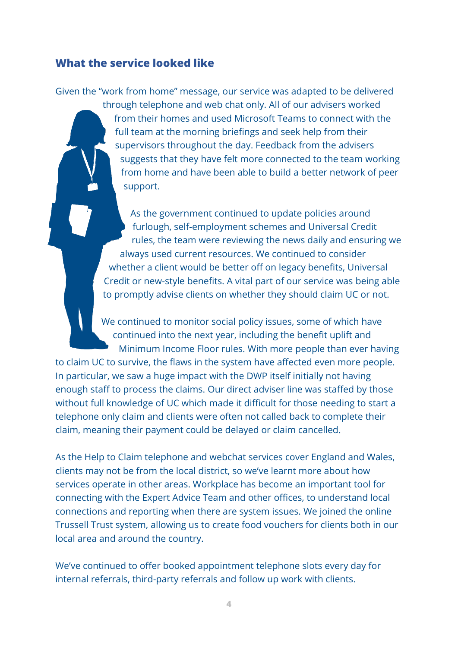#### <span id="page-3-0"></span>**What the service looked like**

Given the "work from home" message, our service was adapted to be delivered

through telephone and web chat only. All of our advisers worked from their homes and used Microsoft Teams to connect with the full team at the morning briefings and seek help from their supervisors throughout the day. Feedback from the advisers suggests that they have felt more connected to the team working from home and have been able to build a better network of peer support.

As the government continued to update policies around furlough, self-employment schemes and Universal Credit rules, the team were reviewing the news daily and ensuring we always used current resources. We continued to consider whether a client would be better off on legacy benefits, Universal Credit or new-style benefits. A vital part of our service was being able to promptly advise clients on whether they should claim UC or not.

We continued to monitor social policy issues, some of which have continued into the next year, including the benefit uplift and Minimum Income Floor rules. With more people than ever having to claim UC to survive, the flaws in the system have affected even more people. In particular, we saw a huge impact with the DWP itself initially not having enough staff to process the claims. Our direct adviser line was staffed by those without full knowledge of UC which made it difficult for those needing to start a telephone only claim and clients were often not called back to complete their claim, meaning their payment could be delayed or claim cancelled.

As the Help to Claim telephone and webchat services cover England and Wales, clients may not be from the local district, so we've learnt more about how services operate in other areas. Workplace has become an important tool for connecting with the Expert Advice Team and other offices, to understand local connections and reporting when there are system issues. We joined the online Trussell Trust system, allowing us to create food vouchers for clients both in our local area and around the country.

We've continued to offer booked appointment telephone slots every day for internal referrals, third-party referrals and follow up work with clients.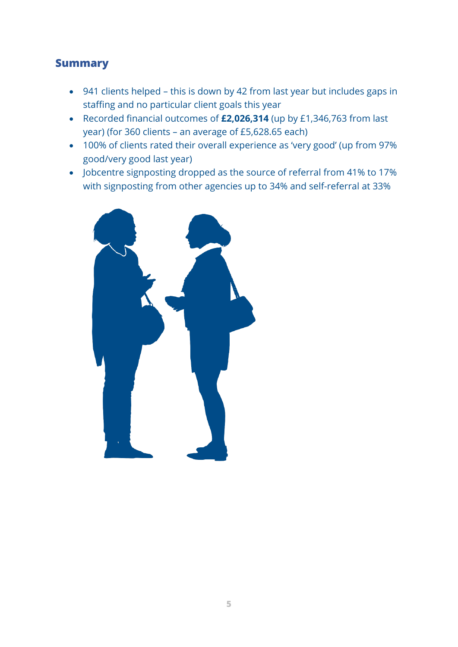#### <span id="page-4-0"></span>**Summary**

- 941 clients helped this is down by 42 from last year but includes gaps in staffing and no particular client goals this year
- Recorded financial outcomes of **£2,026,314** (up by £1,346,763 from last year) (for 360 clients – an average of £5,628.65 each)
- 100% of clients rated their overall experience as 'very good' (up from 97% good/very good last year)
- Jobcentre signposting dropped as the source of referral from 41% to 17% with signposting from other agencies up to 34% and self-referral at 33%

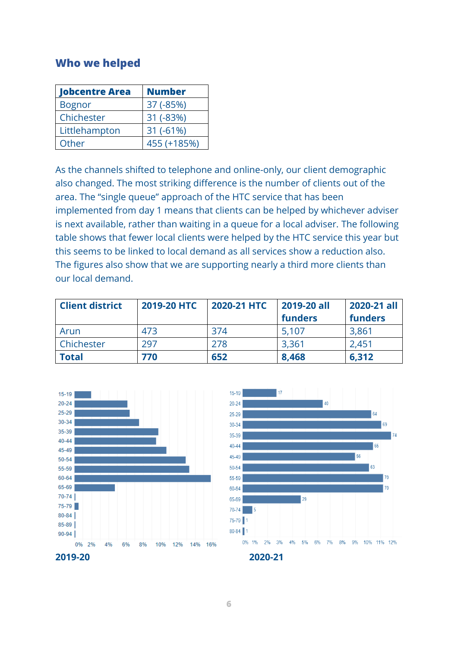#### <span id="page-5-0"></span>**Who we helped**

| <b>Jobcentre Area</b> | <b>Number</b> |
|-----------------------|---------------|
| <b>Bognor</b>         | 37 (-85%)     |
| Chichester            | 31 (-83%)     |
| Littlehampton         | $31 (-61%)$   |
| Other                 | 455 (+185%)   |

As the channels shifted to telephone and online-only, our client demographic also changed. The most striking difference is the number of clients out of the area. The "single queue" approach of the HTC service that has been implemented from day 1 means that clients can be helped by whichever adviser is next available, rather than waiting in a queue for a local adviser. The following table shows that fewer local clients were helped by the HTC service this year but this seems to be linked to local demand as all services show a reduction also. The figures also show that we are supporting nearly a third more clients than our local demand.

| <b>Client district</b> | 2019-20 HTC | 2020-21 HTC | 2019-20 all | 2020-21 all    |
|------------------------|-------------|-------------|-------------|----------------|
|                        |             |             | funders     | <b>funders</b> |
| Arun                   | 473         | 374         | 5,107       | 3,861          |
| Chichester             | 297         | 278         | 3,361       | 2,451          |
| <b>Total</b>           | 770         | 652         | 8,468       | 6,312          |



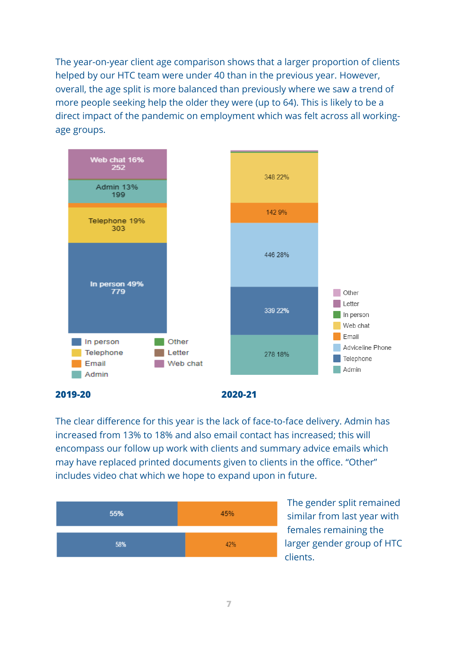The year-on-year client age comparison shows that a larger proportion of clients helped by our HTC team were under 40 than in the previous year. However, overall, the age split is more balanced than previously where we saw a trend of more people seeking help the older they were (up to 64). This is likely to be a direct impact of the pandemic on employment which was felt across all workingage groups.



**2019-20 2020-21**

The clear difference for this year is the lack of face-to-face delivery. Admin has increased from 13% to 18% and also email contact has increased; this will encompass our follow up work with clients and summary advice emails which may have replaced printed documents given to clients in the office. "Other" includes video chat which we hope to expand upon in future.



The gender split remained similar from last year with females remaining the larger gender group of HTC clients.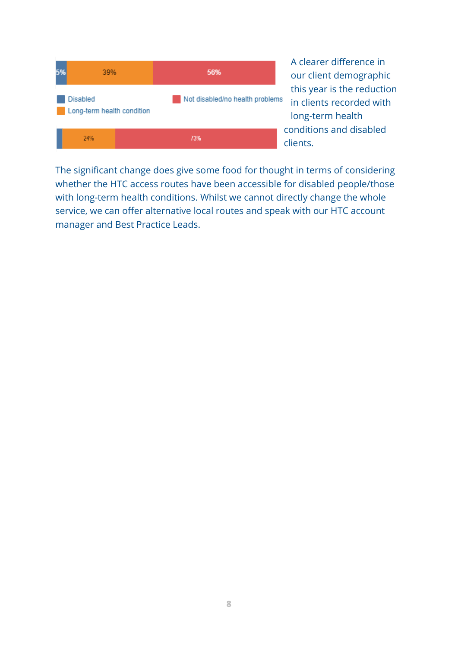

A clearer difference in our client demographic this year is the reduction in clients recorded with long-term health conditions and disabled clients.

The significant change does give some food for thought in terms of considering whether the HTC access routes have been accessible for disabled people/those with long-term health conditions. Whilst we cannot directly change the whole service, we can offer alternative local routes and speak with our HTC account manager and Best Practice Leads.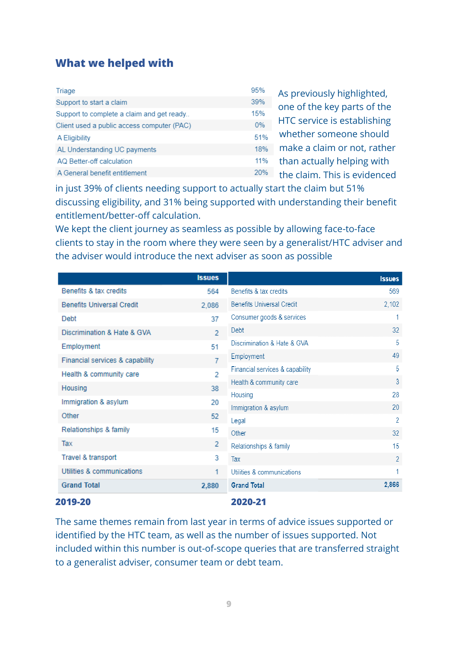## <span id="page-8-0"></span>**What we helped with**

| Triage                                     | 95% | As previously highlighted,   |
|--------------------------------------------|-----|------------------------------|
| Support to start a claim                   | 39% | one of the key parts of the  |
| Support to complete a claim and get ready  | 15% |                              |
| Client used a public access computer (PAC) | 0%  | HTC service is establishing  |
| A Eligibility                              | 51% | whether someone should       |
| AL Understanding UC payments               | 18% | make a claim or not, rather  |
| AQ Better-off calculation                  | 11% | than actually helping with   |
| A General benefit entitlement              | 20% | the claim. This is evidenced |

in just 39% of clients needing support to actually start the claim but 51% discussing eligibility, and 31% being supported with understanding their benefit entitlement/better-off calculation.

We kept the client journey as seamless as possible by allowing face-to-face clients to stay in the room where they were seen by a generalist/HTC adviser and the adviser would introduce the next adviser as soon as possible

|                                  | <b>Issues</b> |                                  | <b>Issues</b>  |
|----------------------------------|---------------|----------------------------------|----------------|
| Benefits & tax credits           | 564           | Benefits & tax credits           | 569            |
| <b>Benefits Universal Credit</b> | 2,086         | <b>Benefits Universal Credit</b> | 2,102          |
| Debt                             | 37            | Consumer goods & services        | 1              |
| Discrimination & Hate & GVA      | $\mathcal{P}$ | Debt                             | 32             |
| Employment                       | 51            | Discrimination & Hate & GVA      | 5              |
| Financial services & capability  | 7             | Employment                       | 49             |
| Health & community care          | 2             | Financial services & capability  | 5              |
| Housing                          | 38            | Health & community care          | $\overline{3}$ |
| Immigration & asylum             | 20            | Housing                          | 28             |
| Other                            | 52            | Immigration & asylum             | 20             |
|                                  |               | Legal                            | 2              |
| Relationships & family           | 15            | Other                            | 32             |
| Tax                              | 2             | Relationships & family           | 15             |
| Travel & transport               | 3             | Tax                              | $\overline{2}$ |
| Utilities & communications       | 1             | Utilities & communications       |                |
| <b>Grand Total</b>               | 2,880         | <b>Grand Total</b>               | 2.866          |

#### **2019-20 2020-21**

The same themes remain from last year in terms of advice issues supported or identified by the HTC team, as well as the number of issues supported. Not included within this number is out-of-scope queries that are transferred straight to a generalist adviser, consumer team or debt team.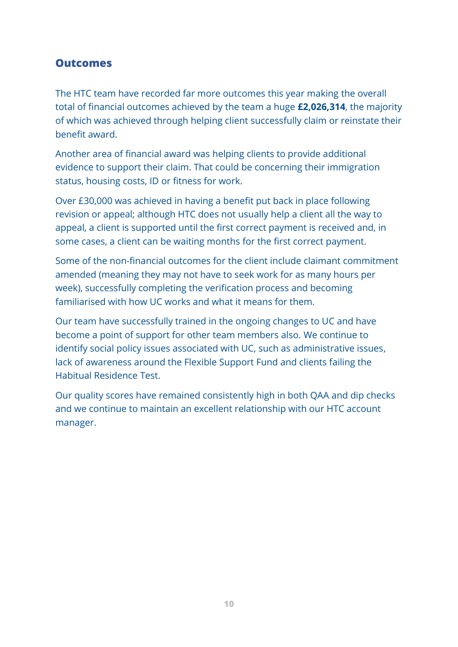#### <span id="page-9-0"></span>**Outcomes**

The HTC team have recorded far more outcomes this year making the overall total of financial outcomes achieved by the team a huge **£2,026,314**, the majority of which was achieved through helping client successfully claim or reinstate their benefit award.

Another area of financial award was helping clients to provide additional evidence to support their claim. That could be concerning their immigration status, housing costs, ID or fitness for work.

Over £30,000 was achieved in having a benefit put back in place following revision or appeal; although HTC does not usually help a client all the way to appeal, a client is supported until the first correct payment is received and, in some cases, a client can be waiting months for the first correct payment.

Some of the non-financial outcomes for the client include claimant commitment amended (meaning they may not have to seek work for as many hours per week), successfully completing the verification process and becoming familiarised with how UC works and what it means for them.

Our team have successfully trained in the ongoing changes to UC and have become a point of support for other team members also. We continue to identify social policy issues associated with UC, such as administrative issues, lack of awareness around the Flexible Support Fund and clients failing the Habitual Residence Test.

Our quality scores have remained consistently high in both QAA and dip checks and we continue to maintain an excellent relationship with our HTC account manager.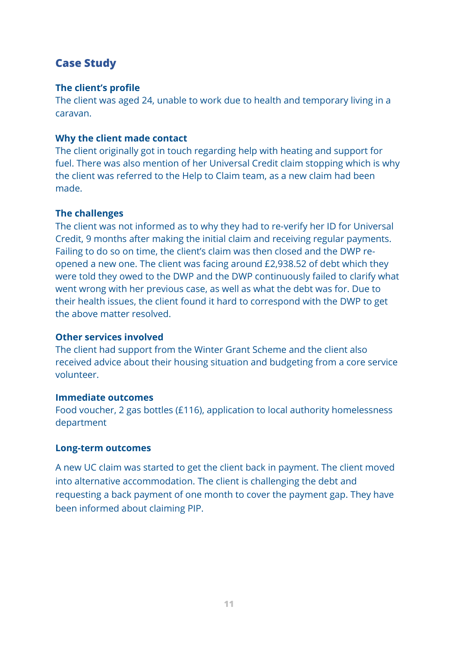#### <span id="page-10-0"></span>**Case Study**

#### **The client's profile**

The client was aged 24, unable to work due to health and temporary living in a caravan.

#### **Why the client made contact**

The client originally got in touch regarding help with heating and support for fuel. There was also mention of her Universal Credit claim stopping which is why the client was referred to the Help to Claim team, as a new claim had been made.

#### **The challenges**

The client was not informed as to why they had to re-verify her ID for Universal Credit, 9 months after making the initial claim and receiving regular payments. Failing to do so on time, the client's claim was then closed and the DWP reopened a new one. The client was facing around £2,938.52 of debt which they were told they owed to the DWP and the DWP continuously failed to clarify what went wrong with her previous case, as well as what the debt was for. Due to their health issues, the client found it hard to correspond with the DWP to get the above matter resolved.

#### **Other services involved**

The client had support from the Winter Grant Scheme and the client also received advice about their housing situation and budgeting from a core service volunteer.

#### **Immediate outcomes**

Food voucher, 2 gas bottles (£116), application to local authority homelessness department

#### **Long-term outcomes**

A new UC claim was started to get the client back in payment. The client moved into alternative accommodation. The client is challenging the debt and requesting a back payment of one month to cover the payment gap. They have been informed about claiming PIP.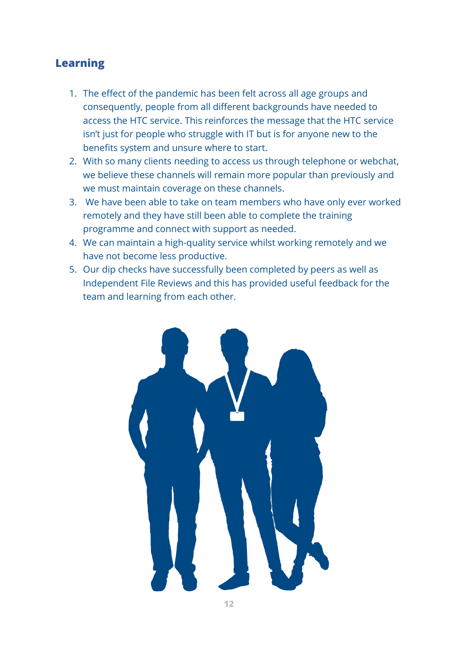#### <span id="page-11-0"></span>**Learning**

- 1. The effect of the pandemic has been felt across all age groups and consequently, people from all different backgrounds have needed to access the HTC service. This reinforces the message that the HTC service isn't just for people who struggle with IT but is for anyone new to the benefits system and unsure where to start.
- 2. With so many clients needing to access us through telephone or webchat, we believe these channels will remain more popular than previously and we must maintain coverage on these channels.
- 3. We have been able to take on team members who have only ever worked remotely and they have still been able to complete the training programme and connect with support as needed.
- 4. We can maintain a high-quality service whilst working remotely and we have not become less productive.
- <span id="page-11-1"></span>5. Our dip checks have successfully been completed by peers as well as Independent File Reviews and this has provided useful feedback for the team and learning from each other.